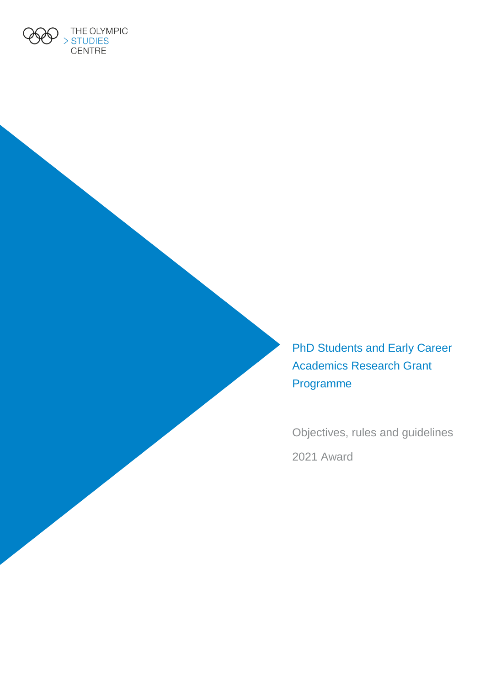

PhD Students and Early Career Academics Research Grant Programme

Objectives, rules and guidelines 2021 Award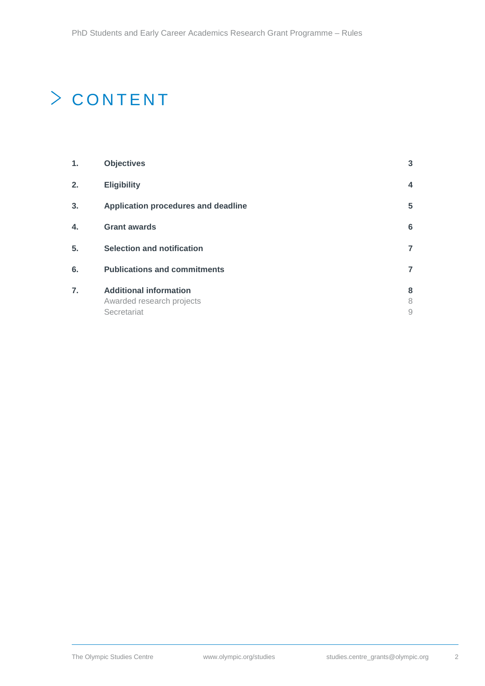# $\geq$  CONTENT

| 1. | <b>Objectives</b>                                                         | $\overline{3}$          |
|----|---------------------------------------------------------------------------|-------------------------|
| 2. | <b>Eligibility</b>                                                        | $\overline{\mathbf{4}}$ |
| 3. | Application procedures and deadline                                       | 5                       |
| 4. | <b>Grant awards</b>                                                       | 6                       |
| 5. | <b>Selection and notification</b>                                         | $\overline{7}$          |
| 6. | <b>Publications and commitments</b>                                       | $\overline{7}$          |
| 7. | <b>Additional information</b><br>Awarded research projects<br>Secretariat | 8<br>8<br>9             |
|    |                                                                           |                         |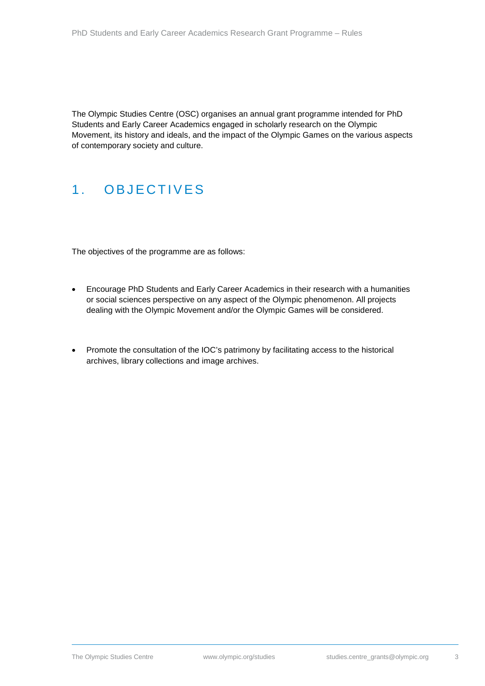The Olympic Studies Centre (OSC) organises an annual grant programme intended for PhD Students and Early Career Academics engaged in scholarly research on the Olympic Movement, its history and ideals, and the impact of the Olympic Games on the various aspects of contemporary society and culture.

## <span id="page-2-0"></span>1 . OBJECTIVES

The objectives of the programme are as follows:

- Encourage PhD Students and Early Career Academics in their research with a humanities or social sciences perspective on any aspect of the Olympic phenomenon. All projects dealing with the Olympic Movement and/or the Olympic Games will be considered.
- Promote the consultation of the IOC's patrimony by facilitating access to the historical archives, library collections and image archives.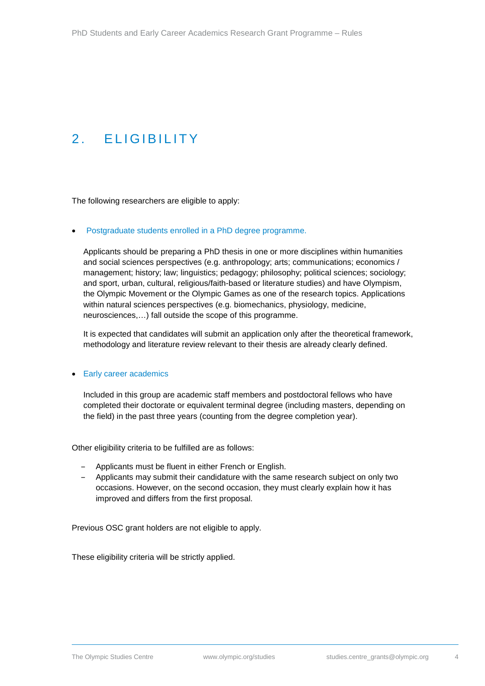## <span id="page-3-0"></span>2 . ELIGIBILITY

The following researchers are eligible to apply:

• Postgraduate students enrolled in a PhD degree programme.

Applicants should be preparing a PhD thesis in one or more disciplines within humanities and social sciences perspectives (e.g. anthropology; arts; communications; economics / management; history; law; linguistics; pedagogy; philosophy; political sciences; sociology; and sport, urban, cultural, religious/faith-based or literature studies) and have Olympism, the Olympic Movement or the Olympic Games as one of the research topics. Applications within natural sciences perspectives (e.g. biomechanics, physiology, medicine, neurosciences,…) fall outside the scope of this programme.

It is expected that candidates will submit an application only after the theoretical framework, methodology and literature review relevant to their thesis are already clearly defined.

#### • Early career academics

Included in this group are academic staff members and postdoctoral fellows who have completed their doctorate or equivalent terminal degree (including masters, depending on the field) in the past three years (counting from the degree completion year).

Other eligibility criteria to be fulfilled are as follows:

- ‒ Applicants must be fluent in either French or English.
- ‒ Applicants may submit their candidature with the same research subject on only two occasions. However, on the second occasion, they must clearly explain how it has improved and differs from the first proposal.

Previous OSC grant holders are not eligible to apply.

These eligibility criteria will be strictly applied.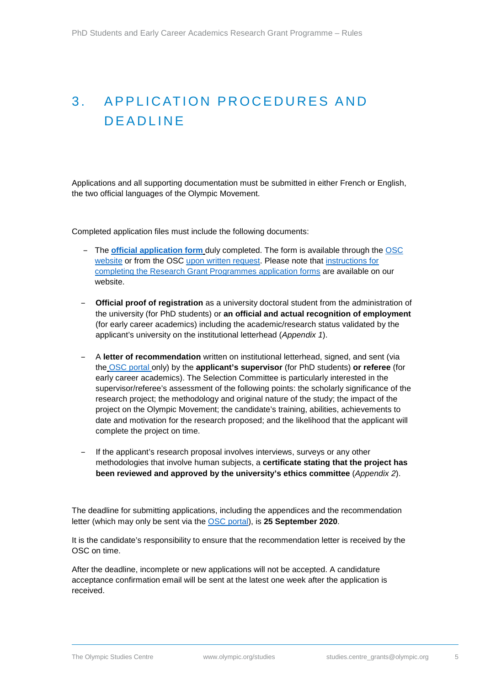## <span id="page-4-0"></span>3. APPLICATION PROCEDURES AND DEADLINE

Applications and all supporting documentation must be submitted in either French or English, the two official languages of the Olympic Movement.

Completed application files must include the following documents:

- ‒ The **[official application form](https://stillmed.olympic.org/media/Document%20Library/OlympicOrg/Olympic-Studies-Centre/Academic-Activities-and-Network/Academic-research/PhD-Students-Grant-Programme-Application-Form-AR.pdf)** duly completed. The form is available through the [OSC](http://www.olympic.org/content/the-olympic-studies-centre/categories-container/academic-activities-and-network/?subcat=129534)  [website](http://www.olympic.org/content/the-olympic-studies-centre/categories-container/academic-activities-and-network/?subcat=129534) or from the OSC [upon written request.](mailto:studies.centre_grants@olympic.org) Please note that [instructions for](https://stillmed.olympic.org/media/Document%20Library/OlympicOrg/Olympic-Studies-Centre/Academic-Activities-and-Network/Academic-research/EN-Research-Grant-Programmes-run-by-the-Olympic-Studies-Centre-Guidelines.pdf)  [completing the Research Grant Programmes application forms](https://stillmed.olympic.org/media/Document%20Library/OlympicOrg/Olympic-Studies-Centre/Academic-Activities-and-Network/Academic-research/EN-Research-Grant-Programmes-run-by-the-Olympic-Studies-Centre-Guidelines.pdf) are available on our website.
- ‒ **Official proof of registration** as a university doctoral student from the administration of the university (for PhD students) or **an official and actual recognition of employment** (for early career academics) including the academic/research status validated by the applicant's university on the institutional letterhead (*Appendix 1*).
- ‒ A **letter of recommendation** written on institutional letterhead, signed, and sent (via the OSC [portal](https://oscapplicationpost.mediashuttle.com/) only) by the **applicant's supervisor** (for PhD students) **or referee** (for early career academics). The Selection Committee is particularly interested in the supervisor/referee's assessment of the following points: the scholarly significance of the research project; the methodology and original nature of the study; the impact of the project on the Olympic Movement; the candidate's training, abilities, achievements to date and motivation for the research proposed; and the likelihood that the applicant will complete the project on time.
- If the applicant's research proposal involves interviews, surveys or any other methodologies that involve human subjects, a **certificate stating that the project has been reviewed and approved by the university's ethics committee** (*Appendix 2*).

The deadline for submitting applications, including the appendices and the recommendation letter (which may only be sent via the OSC [portal\)](https://oscapplicationpost.mediashuttle.com/), is **25 September 2020**.

It is the candidate's responsibility to ensure that the recommendation letter is received by the OSC on time.

After the deadline, incomplete or new applications will not be accepted. A candidature acceptance confirmation email will be sent at the latest one week after the application is received.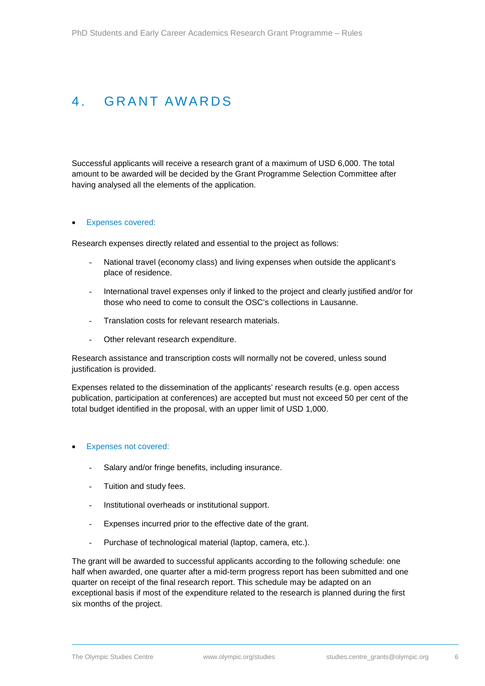## <span id="page-5-0"></span>4. GRANT AWARDS

Successful applicants will receive a research grant of a maximum of USD 6,000. The total amount to be awarded will be decided by the Grant Programme Selection Committee after having analysed all the elements of the application.

#### **Expenses covered:**

Research expenses directly related and essential to the project as follows:

- National travel (economy class) and living expenses when outside the applicant's place of residence.
- International travel expenses only if linked to the project and clearly justified and/or for those who need to come to consult the OSC's collections in Lausanne.
- Translation costs for relevant research materials.
- Other relevant research expenditure.

Research assistance and transcription costs will normally not be covered, unless sound justification is provided.

Expenses related to the dissemination of the applicants' research results (e.g. open access publication, participation at conferences) are accepted but must not exceed 50 per cent of the total budget identified in the proposal, with an upper limit of USD 1,000.

#### • Expenses not covered:

- Salary and/or fringe benefits, including insurance.
- Tuition and study fees.
- Institutional overheads or institutional support.
- Expenses incurred prior to the effective date of the grant.
- Purchase of technological material (laptop, camera, etc.).

The grant will be awarded to successful applicants according to the following schedule: one half when awarded, one quarter after a mid-term progress report has been submitted and one quarter on receipt of the final research report. This schedule may be adapted on an exceptional basis if most of the expenditure related to the research is planned during the first six months of the project.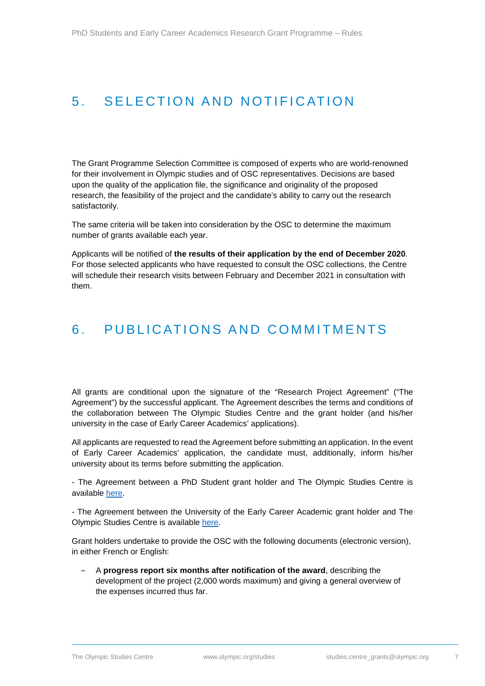## <span id="page-6-0"></span>5. SELECTION AND NOTIFICATION

The Grant Programme Selection Committee is composed of experts who are world-renowned for their involvement in Olympic studies and of OSC representatives. Decisions are based upon the quality of the application file, the significance and originality of the proposed research, the feasibility of the project and the candidate's ability to carry out the research satisfactorily.

The same criteria will be taken into consideration by the OSC to determine the maximum number of grants available each year.

Applicants will be notified of **the results of their application by the end of December 2020**. For those selected applicants who have requested to consult the OSC collections, the Centre will schedule their research visits between February and December 2021 in consultation with them.

### <span id="page-6-1"></span>6. PUBLICATIONS AND COMMITMENTS

All grants are conditional upon the signature of the "Research Project Agreement" ("The Agreement") by the successful applicant. The Agreement describes the terms and conditions of the collaboration between The Olympic Studies Centre and the grant holder (and his/her university in the case of Early Career Academics' applications).

All applicants are requested to read the Agreement before submitting an application. In the event of Early Career Academics' application, the candidate must, additionally, inform his/her university about its terms before submitting the application.

- The Agreement between a PhD Student grant holder and The Olympic Studies Centre is available [here.](https://stillmed.olympic.org/media/Document%20Library/OlympicOrg/Olympic-Studies-Centre/Academic-Activities-and-Network/Academic-research/Research-Agreement-for-PhD-Students.pdf)

- The Agreement between the University of the Early Career Academic grant holder and The Olympic Studies Centre is available [here.](https://stillmed.olympic.org/media/Document%20Library/OlympicOrg/Olympic-Studies-Centre/Academic-Activities-and-Network/Academic-research/Research-Agreement-for-Early-Career-Academics.pdf)

Grant holders undertake to provide the OSC with the following documents (electronic version), in either French or English:

‒ A **progress report six months after notification of the award**, describing the development of the project (2,000 words maximum) and giving a general overview of the expenses incurred thus far.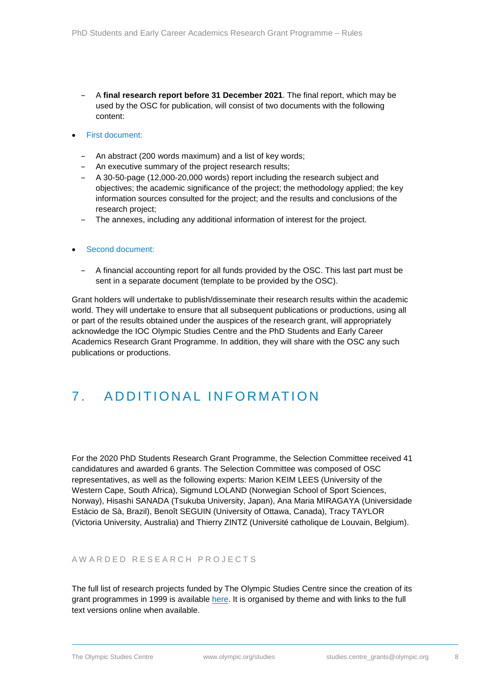- ‒ A **final research report before 31 December 2021**. The final report, which may be used by the OSC for publication, will consist of two documents with the following content:
- First document:
	- ‒ An abstract (200 words maximum) and a list of key words;
	- ‒ An executive summary of the project research results;
	- ‒ A 30-50-page (12,000-20,000 words) report including the research subject and objectives; the academic significance of the project; the methodology applied; the key information sources consulted for the project; and the results and conclusions of the research project;
	- The annexes, including any additional information of interest for the project.

#### • Second document:

‒ A financial accounting report for all funds provided by the OSC. This last part must be sent in a separate document (template to be provided by the OSC).

Grant holders will undertake to publish/disseminate their research results within the academic world. They will undertake to ensure that all subsequent publications or productions, using all or part of the results obtained under the auspices of the research grant, will appropriately acknowledge the IOC Olympic Studies Centre and the PhD Students and Early Career Academics Research Grant Programme. In addition, they will share with the OSC any such publications or productions.

## <span id="page-7-0"></span>7 . A DDITIONAL INFORMATION

For the 2020 PhD Students Research Grant Programme, the Selection Committee received 41 candidatures and awarded 6 grants. The Selection Committee was composed of OSC representatives, as well as the following experts: Marion KEIM LEES (University of the Western Cape, South Africa), Sigmund LOLAND (Norwegian School of Sport Sciences, Norway), Hisashi SANADA (Tsukuba University, Japan), Ana Maria MIRAGAYA (Universidade Estàcio de Sà, Brazil), Benoît SEGUIN (University of Ottawa, Canada), Tracy TAYLOR (Victoria University, Australia) and Thierry ZINTZ (Université catholique de Louvain, Belgium).

#### <span id="page-7-1"></span>AWARDED RESEARCH PROJECTS

The full list of research projects funded by The Olympic Studies Centre since the creation of its grant programmes in 1999 is available [here.](https://stillmed.olympic.org/media/Document%20Library/OlympicOrg/Olympic-Studies-Centre/Academic-Activities-and-Network/Academic-research/List-of-awarded-projects.pdf) It is organised by theme and with links to the full text versions online when available.